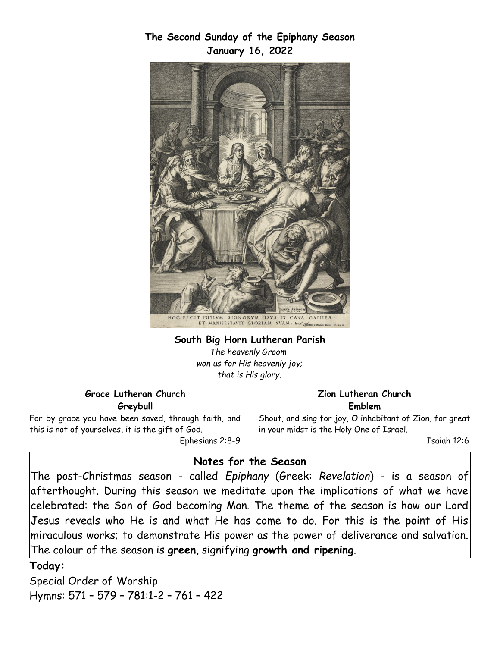**The Second Sunday of the Epiphany Season January 16, 2022**



## **South Big Horn Lutheran Parish** *The heavenly Groom*

*won us for His heavenly joy; that is His glory.*

#### **Grace Lutheran Church Greybull**

For by grace you have been saved, through faith, and this is not of yourselves, it is the gift of God. Ephesians 2:8-9

#### **Zion Lutheran Church Emblem**

Shout, and sing for joy, O inhabitant of Zion, for great in your midst is the Holy One of Israel.

Isaiah 12:6

# **Notes for the Season**

The post-Christmas season - called *Epiphany* (Greek: *Revelation*) - is a season of afterthought. During this season we meditate upon the implications of what we have celebrated: the Son of God becoming Man. The theme of the season is how our Lord Jesus reveals who He is and what He has come to do. For this is the point of His miraculous works; to demonstrate His power as the power of deliverance and salvation. The colour of the season is **green**, signifying **growth and ripening**.

### **Today:**

Special Order of Worship Hymns: 571 – 579 – 781:1-2 – 761 – 422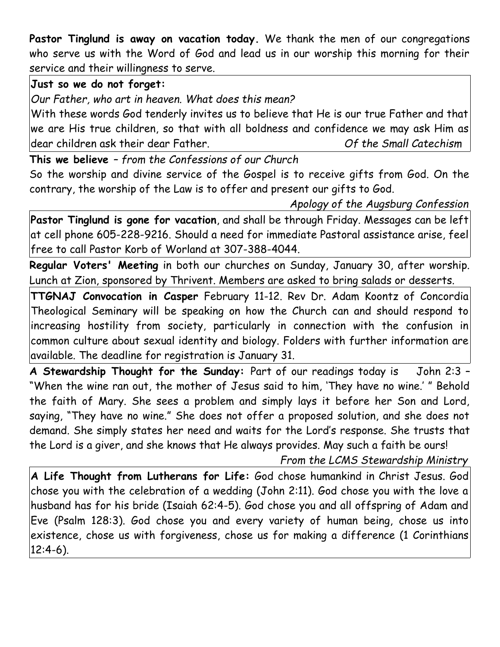**Pastor Tinglund is away on vacation today.** We thank the men of our congregations who serve us with the Word of God and lead us in our worship this morning for their service and their willingness to serve.

## **Just so we do not forget:**

*Our Father, who art in heaven. What does this mean?*

With these words God tenderly invites us to believe that He is our true Father and that we are His true children, so that with all boldness and confidence we may ask Him as dear children ask their dear Father. *Of the Small Catechism*

**This we believe** *– from the Confessions of our Church*

So the worship and divine service of the Gospel is to receive gifts from God. On the contrary, the worship of the Law is to offer and present our gifts to God.

*Apology of the Augsburg Confession*

**Pastor Tinglund is gone for vacation**, and shall be through Friday. Messages can be left at cell phone 605-228-9216. Should a need for immediate Pastoral assistance arise, feel free to call Pastor Korb of Worland at 307-388-4044.

**Regular Voters' Meeting** in both our churches on Sunday, January 30, after worship. Lunch at Zion, sponsored by Thrivent. Members are asked to bring salads or desserts.

**TTGNAJ Convocation in Casper** February 11-12. Rev Dr. Adam Koontz of Concordia Theological Seminary will be speaking on how the Church can and should respond to increasing hostility from society, particularly in connection with the confusion in common culture about sexual identity and biology. Folders with further information are available. The deadline for registration is January 31.

**A Stewardship Thought for the Sunday:** Part of our readings today is John 2:3 – "When the wine ran out, the mother of Jesus said to him, 'They have no wine.' " Behold the faith of Mary. She sees a problem and simply lays it before her Son and Lord, saying, "They have no wine." She does not offer a proposed solution, and she does not demand. She simply states her need and waits for the Lord's response. She trusts that the Lord is a giver, and she knows that He always provides. May such a faith be ours!

*From the LCMS Stewardship Ministry*

**A Life Thought from Lutherans for Life:** God chose humankind in Christ Jesus. God chose you with the celebration of a wedding (John 2:11). God chose you with the love a husband has for his bride (Isaiah 62:4-5). God chose you and all offspring of Adam and Eve (Psalm 128:3). God chose you and every variety of human being, chose us into existence, chose us with forgiveness, chose us for making a difference (1 Corinthians 12:4-6).